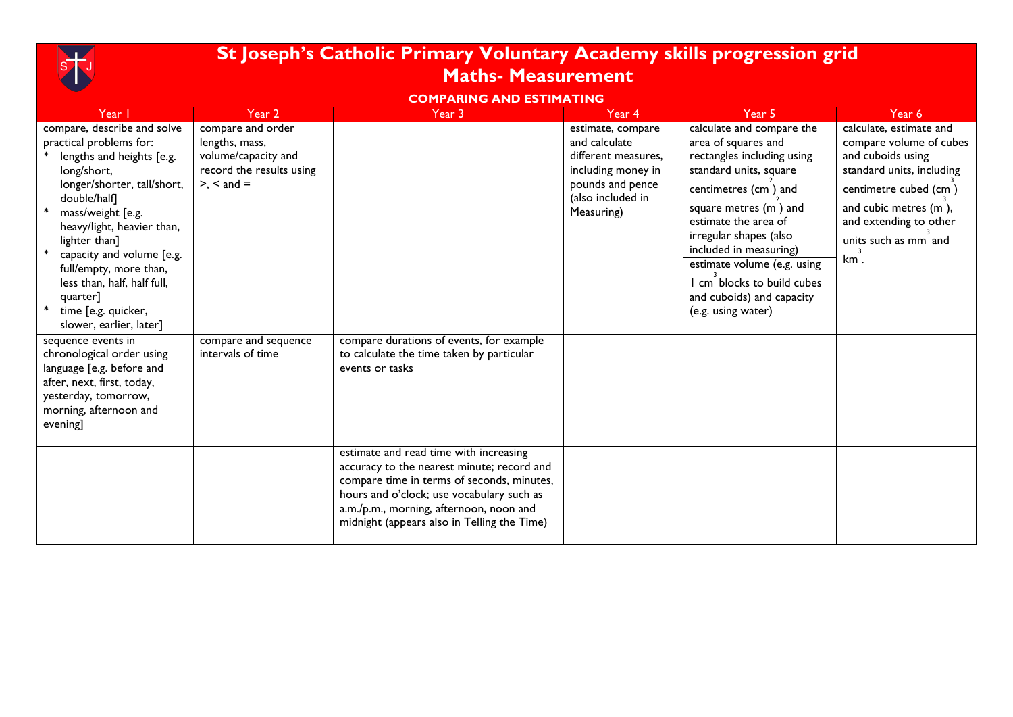

## **St Joseph's Catholic Primary Voluntary Academy skills progression grid Maths- Measurement**

## **COMPARING AND ESTIMATING**

| Year I                                                                                                                                                                                                                                                                                                                                                                    | Year 2                                                                                                    | Year 3                                                                                                                                                                                                                                                                    | Year 4                                                                                                                                 | Year 5                                                                                                                                                                                                                                                                                                                                                | Year 6                                                                                                                                                                                                          |
|---------------------------------------------------------------------------------------------------------------------------------------------------------------------------------------------------------------------------------------------------------------------------------------------------------------------------------------------------------------------------|-----------------------------------------------------------------------------------------------------------|---------------------------------------------------------------------------------------------------------------------------------------------------------------------------------------------------------------------------------------------------------------------------|----------------------------------------------------------------------------------------------------------------------------------------|-------------------------------------------------------------------------------------------------------------------------------------------------------------------------------------------------------------------------------------------------------------------------------------------------------------------------------------------------------|-----------------------------------------------------------------------------------------------------------------------------------------------------------------------------------------------------------------|
| compare, describe and solve<br>practical problems for:<br>lengths and heights [e.g.<br>long/short,<br>longer/shorter, tall/short,<br>double/half]<br>mass/weight [e.g.<br>heavy/light, heavier than,<br>lighter than]<br>capacity and volume [e.g.<br>full/empty, more than,<br>less than, half, half full,<br>quarter]<br>time [e.g. quicker,<br>slower, earlier, later] | compare and order<br>lengths, mass,<br>volume/capacity and<br>record the results using<br>$> x <$ and $=$ |                                                                                                                                                                                                                                                                           | estimate, compare<br>and calculate<br>different measures,<br>including money in<br>pounds and pence<br>(also included in<br>Measuring) | calculate and compare the<br>area of squares and<br>rectangles including using<br>standard units, square<br>centimetres (cm) and<br>square metres (m) and<br>estimate the area of<br>irregular shapes (also<br>included in measuring)<br>estimate volume (e.g. using<br>I cm blocks to build cubes<br>and cuboids) and capacity<br>(e.g. using water) | calculate, estimate and<br>compare volume of cubes<br>and cuboids using<br>standard units, including<br>centimetre cubed (cm)<br>and cubic metres (m),<br>and extending to other<br>units such as mm and<br>km. |
| sequence events in<br>chronological order using<br>language [e.g. before and<br>after, next, first, today,<br>yesterday, tomorrow,<br>morning, afternoon and<br>evening]                                                                                                                                                                                                  | compare and sequence<br>intervals of time                                                                 | compare durations of events, for example<br>to calculate the time taken by particular<br>events or tasks                                                                                                                                                                  |                                                                                                                                        |                                                                                                                                                                                                                                                                                                                                                       |                                                                                                                                                                                                                 |
|                                                                                                                                                                                                                                                                                                                                                                           |                                                                                                           | estimate and read time with increasing<br>accuracy to the nearest minute; record and<br>compare time in terms of seconds, minutes,<br>hours and o'clock; use vocabulary such as<br>a.m./p.m., morning, afternoon, noon and<br>midnight (appears also in Telling the Time) |                                                                                                                                        |                                                                                                                                                                                                                                                                                                                                                       |                                                                                                                                                                                                                 |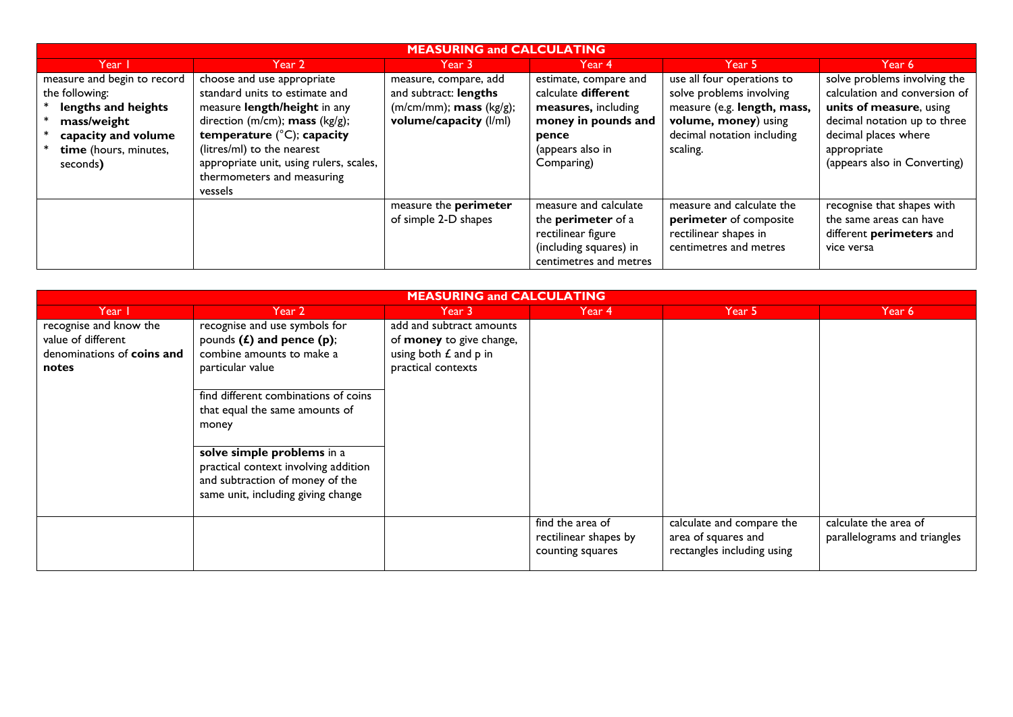| <b>MEASURING and CALCULATING</b>                                                                                                                |                                                                                                                                                                                                                                                                                          |                                                                                                           |                                                                                                                                       |                                                                                                                                                         |                                                                                                                                                                                                 |  |
|-------------------------------------------------------------------------------------------------------------------------------------------------|------------------------------------------------------------------------------------------------------------------------------------------------------------------------------------------------------------------------------------------------------------------------------------------|-----------------------------------------------------------------------------------------------------------|---------------------------------------------------------------------------------------------------------------------------------------|---------------------------------------------------------------------------------------------------------------------------------------------------------|-------------------------------------------------------------------------------------------------------------------------------------------------------------------------------------------------|--|
| Year I                                                                                                                                          | Year 2                                                                                                                                                                                                                                                                                   | Year 3                                                                                                    | Year 4                                                                                                                                | Year 5                                                                                                                                                  | Year 6                                                                                                                                                                                          |  |
| measure and begin to record<br>the following:<br>lengths and heights<br>mass/weight<br>capacity and volume<br>time (hours, minutes,<br>seconds) | choose and use appropriate<br>standard units to estimate and<br>measure length/height in any<br>direction (m/cm); mass (kg/g);<br>temperature $(^{\circ}C)$ ; capacity<br>(litres/ml) to the nearest<br>appropriate unit, using rulers, scales,<br>thermometers and measuring<br>vessels | measure, compare, add<br>and subtract: lengths<br>$(m/cm/mm)$ ; mass $(kg/g)$ ;<br>volume/capacity (I/ml) | estimate, compare and<br>calculate different<br>measures, including<br>money in pounds and<br>pence<br>(appears also in<br>Comparing) | use all four operations to<br>solve problems involving<br>measure (e.g. length, mass,<br>volume, money) using<br>decimal notation including<br>scaling. | solve problems involving the<br>calculation and conversion of<br>units of measure, using<br>decimal notation up to three<br>decimal places where<br>appropriate<br>(appears also in Converting) |  |
|                                                                                                                                                 |                                                                                                                                                                                                                                                                                          | measure the perimeter<br>of simple 2-D shapes                                                             | measure and calculate<br>the <b>perimeter</b> of a<br>rectilinear figure<br>(including squares) in<br>centimetres and metres          | measure and calculate the<br>perimeter of composite<br>rectilinear shapes in<br>centimetres and metres                                                  | recognise that shapes with<br>the same areas can have<br>different perimeters and<br>vice versa                                                                                                 |  |

| <b>MEASURING and CALCULATING</b> |                                      |                           |                       |                            |                              |  |
|----------------------------------|--------------------------------------|---------------------------|-----------------------|----------------------------|------------------------------|--|
| Year I                           | Year 2                               | Year 3                    | Year 4                | Year 5                     | Year 6                       |  |
| recognise and know the           | recognise and use symbols for        | add and subtract amounts  |                       |                            |                              |  |
| value of different               | pounds $(f)$ and pence $(p)$ ;       | of money to give change,  |                       |                            |                              |  |
| denominations of coins and       | combine amounts to make a            | using both $E$ and $p$ in |                       |                            |                              |  |
| notes                            | particular value                     | practical contexts        |                       |                            |                              |  |
|                                  |                                      |                           |                       |                            |                              |  |
|                                  | find different combinations of coins |                           |                       |                            |                              |  |
|                                  | that equal the same amounts of       |                           |                       |                            |                              |  |
|                                  | money                                |                           |                       |                            |                              |  |
|                                  |                                      |                           |                       |                            |                              |  |
|                                  | solve simple problems in a           |                           |                       |                            |                              |  |
|                                  | practical context involving addition |                           |                       |                            |                              |  |
|                                  | and subtraction of money of the      |                           |                       |                            |                              |  |
|                                  | same unit, including giving change   |                           |                       |                            |                              |  |
|                                  |                                      |                           |                       |                            |                              |  |
|                                  |                                      |                           | find the area of      | calculate and compare the  | calculate the area of        |  |
|                                  |                                      |                           | rectilinear shapes by | area of squares and        | parallelograms and triangles |  |
|                                  |                                      |                           | counting squares      | rectangles including using |                              |  |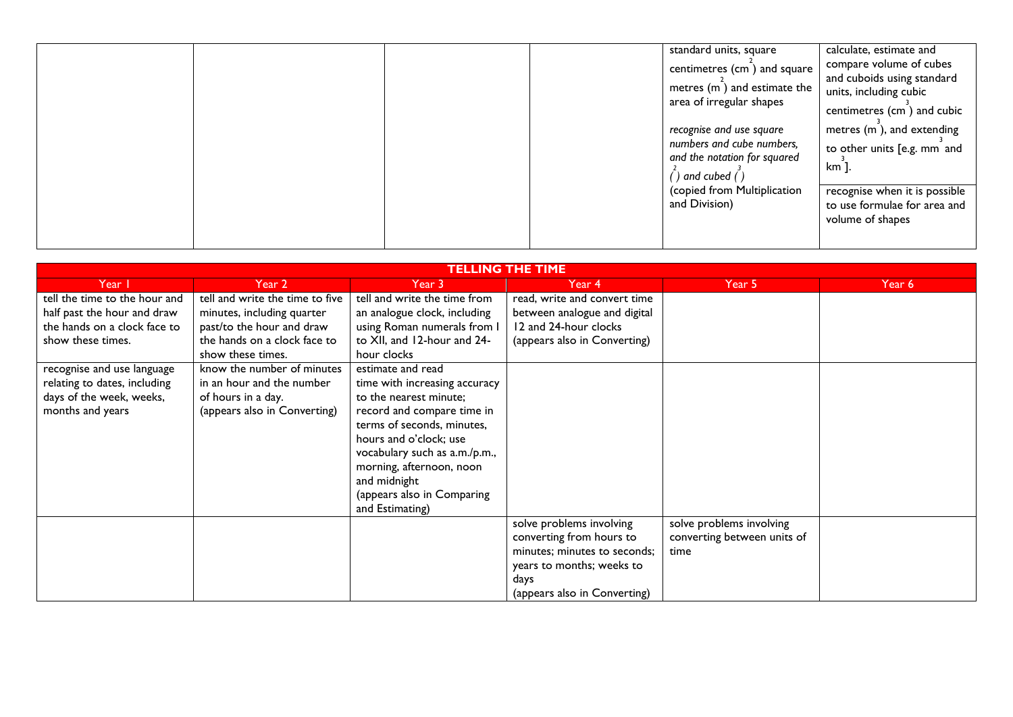|  | standard units, square<br>centimetres (cm) and square<br>metres (m) and estimate the<br>area of irregular shapes<br>recognise and use square<br>numbers and cube numbers,<br>and the notation for squared<br>) and cubed ( ) | calculate, estimate and<br>compare volume of cubes<br>and cuboids using standard<br>units, including cubic<br>centimetres (cm) and cubic<br>metres $(m)$ , and extending<br>to other units [e.g. mm and<br>km ]. |
|--|------------------------------------------------------------------------------------------------------------------------------------------------------------------------------------------------------------------------------|------------------------------------------------------------------------------------------------------------------------------------------------------------------------------------------------------------------|
|  | (copied from Multiplication<br>and Division)                                                                                                                                                                                 | recognise when it is possible<br>to use formulae for area and<br>volume of shapes                                                                                                                                |

| <b>TELLING THE TIME</b>       |                                 |                               |                              |                             |        |  |
|-------------------------------|---------------------------------|-------------------------------|------------------------------|-----------------------------|--------|--|
| Year I                        | Year 2                          | Year 3                        | Year 4                       | Year 5                      | Year 6 |  |
| tell the time to the hour and | tell and write the time to five | tell and write the time from  | read, write and convert time |                             |        |  |
| half past the hour and draw   | minutes, including quarter      | an analogue clock, including  | between analogue and digital |                             |        |  |
| the hands on a clock face to  | past/to the hour and draw       | using Roman numerals from I   | 12 and 24-hour clocks        |                             |        |  |
| show these times.             | the hands on a clock face to    | to XII, and 12-hour and 24-   | (appears also in Converting) |                             |        |  |
|                               | show these times.               | hour clocks                   |                              |                             |        |  |
| recognise and use language    | know the number of minutes      | estimate and read             |                              |                             |        |  |
| relating to dates, including  | in an hour and the number       | time with increasing accuracy |                              |                             |        |  |
| days of the week, weeks,      | of hours in a day.              | to the nearest minute;        |                              |                             |        |  |
| months and years              | (appears also in Converting)    | record and compare time in    |                              |                             |        |  |
|                               |                                 | terms of seconds, minutes,    |                              |                             |        |  |
|                               |                                 | hours and o'clock; use        |                              |                             |        |  |
|                               |                                 | vocabulary such as a.m./p.m., |                              |                             |        |  |
|                               |                                 | morning, afternoon, noon      |                              |                             |        |  |
|                               |                                 | and midnight                  |                              |                             |        |  |
|                               |                                 | (appears also in Comparing    |                              |                             |        |  |
|                               |                                 | and Estimating)               |                              |                             |        |  |
|                               |                                 |                               | solve problems involving     | solve problems involving    |        |  |
|                               |                                 |                               | converting from hours to     | converting between units of |        |  |
|                               |                                 |                               | minutes; minutes to seconds; | time                        |        |  |
|                               |                                 |                               | years to months; weeks to    |                             |        |  |
|                               |                                 |                               | days                         |                             |        |  |
|                               |                                 |                               | (appears also in Converting) |                             |        |  |